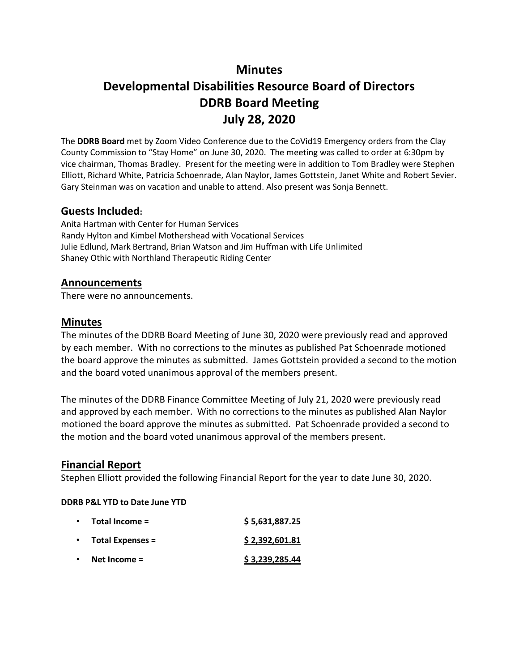# **Minutes Developmental Disabilities Resource Board of Directors DDRB Board Meeting July 28, 2020**

The **DDRB Board** met by Zoom Video Conference due to the CoVid19 Emergency orders from the Clay County Commission to "Stay Home" on June 30, 2020. The meeting was called to order at 6:30pm by vice chairman, Thomas Bradley. Present for the meeting were in addition to Tom Bradley were Stephen Elliott, Richard White, Patricia Schoenrade, Alan Naylor, James Gottstein, Janet White and Robert Sevier. Gary Steinman was on vacation and unable to attend. Also present was Sonja Bennett.

### **Guests Included:**

Anita Hartman with Center for Human Services Randy Hylton and Kimbel Mothershead with Vocational Services Julie Edlund, Mark Bertrand, Brian Watson and Jim Huffman with Life Unlimited Shaney Othic with Northland Therapeutic Riding Center

### **Announcements**

There were no announcements.

#### **Minutes**

The minutes of the DDRB Board Meeting of June 30, 2020 were previously read and approved by each member. With no corrections to the minutes as published Pat Schoenrade motioned the board approve the minutes as submitted. James Gottstein provided a second to the motion and the board voted unanimous approval of the members present.

The minutes of the DDRB Finance Committee Meeting of July 21, 2020 were previously read and approved by each member. With no corrections to the minutes as published Alan Naylor motioned the board approve the minutes as submitted. Pat Schoenrade provided a second to the motion and the board voted unanimous approval of the members present.

#### **Financial Report**

Stephen Elliott provided the following Financial Report for the year to date June 30, 2020.

#### **DDRB P&L YTD to Date June YTD**

| $\bullet$ | Total Income =          | \$5,631,887.25 |
|-----------|-------------------------|----------------|
| $\bullet$ | <b>Total Expenses =</b> | \$2,392,601.81 |
| $\bullet$ | Net Income $=$          | \$3,239,285.44 |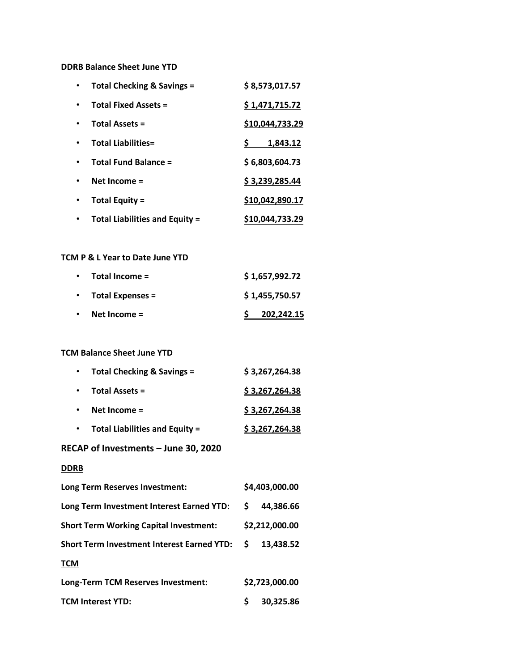#### **DDRB Balance Sheet June YTD**

| Total Checking & Savings =            | \$8,573,017.57  |
|---------------------------------------|-----------------|
| <b>Total Fixed Assets =</b>           | \$1,471,715.72  |
| <b>Total Assets =</b>                 | \$10,044,733.29 |
| <b>Total Liabilities=</b>             | 1,843.12        |
| <b>Total Fund Balance =</b>           | \$6,803,604.73  |
| Net Income $=$                        | \$3,239,285.44  |
| <b>Total Equity =</b>                 | \$10,042,890.17 |
| <b>Total Liabilities and Equity =</b> | \$10,044,733.29 |

#### **TCM P & L Year to Date June YTD**

| $\bullet$ | Total Income =          | \$1,657,992.72 |
|-----------|-------------------------|----------------|
| $\bullet$ | <b>Total Expenses =</b> | \$1,455,750.57 |
| $\bullet$ | Net Income $=$          | 202,242.15     |

#### **TCM Balance Sheet June YTD**

| Total Checking & Savings =            | \$3,267,264.38 |
|---------------------------------------|----------------|
| <b>Total Assets =</b>                 | \$3,267,264.38 |
| Net Income $=$                        | \$3,267,264.38 |
| <b>Total Liabilities and Equity =</b> | \$3,267,264.38 |

#### **RECAP of Investments – June 30, 2020**

#### **DDRB**

| Long Term Reserves Investment:                    |                | \$4,403,000.00 |  |  |
|---------------------------------------------------|----------------|----------------|--|--|
| Long Term Investment Interest Earned YTD:         | S.             | 44,386.66      |  |  |
| <b>Short Term Working Capital Investment:</b>     | \$2,212,000.00 |                |  |  |
| <b>Short Term Investment Interest Earned YTD:</b> | -S             | 13,438.52      |  |  |
| <b>TCM</b>                                        |                |                |  |  |
| Long-Term TCM Reserves Investment:                |                | \$2,723,000.00 |  |  |
| <b>TCM Interest YTD:</b>                          |                | 30,325.86      |  |  |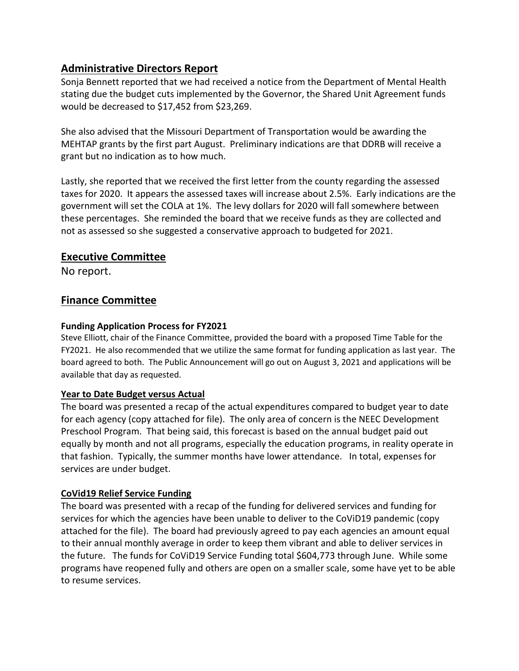## **Administrative Directors Report**

Sonja Bennett reported that we had received a notice from the Department of Mental Health stating due the budget cuts implemented by the Governor, the Shared Unit Agreement funds would be decreased to \$17,452 from \$23,269.

She also advised that the Missouri Department of Transportation would be awarding the MEHTAP grants by the first part August. Preliminary indications are that DDRB will receive a grant but no indication as to how much.

Lastly, she reported that we received the first letter from the county regarding the assessed taxes for 2020. It appears the assessed taxes will increase about 2.5%. Early indications are the government will set the COLA at 1%. The levy dollars for 2020 will fall somewhere between these percentages. She reminded the board that we receive funds as they are collected and not as assessed so she suggested a conservative approach to budgeted for 2021.

### **Executive Committee**

No report.

### **Finance Committee**

### **Funding Application Process for FY2021**

Steve Elliott, chair of the Finance Committee, provided the board with a proposed Time Table for the FY2021. He also recommended that we utilize the same format for funding application as last year. The board agreed to both. The Public Announcement will go out on August 3, 2021 and applications will be available that day as requested.

### **Year to Date Budget versus Actual**

The board was presented a recap of the actual expenditures compared to budget year to date for each agency (copy attached for file). The only area of concern is the NEEC Development Preschool Program. That being said, this forecast is based on the annual budget paid out equally by month and not all programs, especially the education programs, in reality operate in that fashion. Typically, the summer months have lower attendance. In total, expenses for services are under budget.

### **CoVid19 Relief Service Funding**

The board was presented with a recap of the funding for delivered services and funding for services for which the agencies have been unable to deliver to the CoViD19 pandemic (copy attached for the file). The board had previously agreed to pay each agencies an amount equal to their annual monthly average in order to keep them vibrant and able to deliver services in the future. The funds for CoViD19 Service Funding total \$604,773 through June. While some programs have reopened fully and others are open on a smaller scale, some have yet to be able to resume services.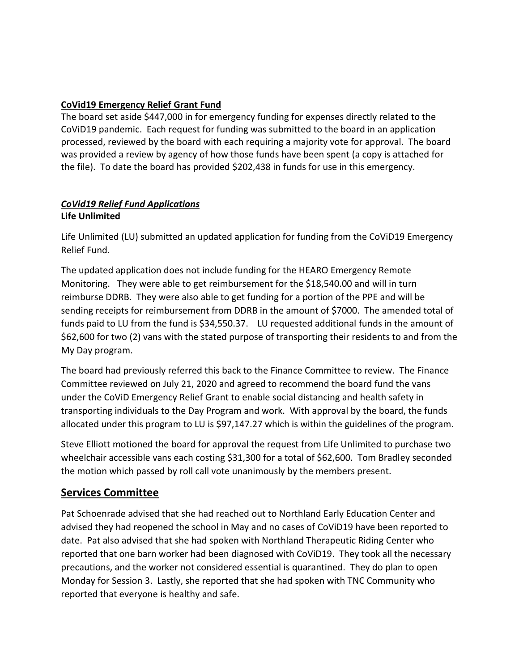### **CoVid19 Emergency Relief Grant Fund**

The board set aside \$447,000 in for emergency funding for expenses directly related to the CoViD19 pandemic. Each request for funding was submitted to the board in an application processed, reviewed by the board with each requiring a majority vote for approval. The board was provided a review by agency of how those funds have been spent (a copy is attached for the file). To date the board has provided \$202,438 in funds for use in this emergency.

### *CoVid19 Relief Fund Applications* **Life Unlimited**

Life Unlimited (LU) submitted an updated application for funding from the CoViD19 Emergency Relief Fund.

The updated application does not include funding for the HEARO Emergency Remote Monitoring. They were able to get reimbursement for the \$18,540.00 and will in turn reimburse DDRB. They were also able to get funding for a portion of the PPE and will be sending receipts for reimbursement from DDRB in the amount of \$7000. The amended total of funds paid to LU from the fund is \$34,550.37. LU requested additional funds in the amount of \$62,600 for two (2) vans with the stated purpose of transporting their residents to and from the My Day program.

The board had previously referred this back to the Finance Committee to review. The Finance Committee reviewed on July 21, 2020 and agreed to recommend the board fund the vans under the CoViD Emergency Relief Grant to enable social distancing and health safety in transporting individuals to the Day Program and work. With approval by the board, the funds allocated under this program to LU is \$97,147.27 which is within the guidelines of the program.

Steve Elliott motioned the board for approval the request from Life Unlimited to purchase two wheelchair accessible vans each costing \$31,300 for a total of \$62,600. Tom Bradley seconded the motion which passed by roll call vote unanimously by the members present.

## **Services Committee**

Pat Schoenrade advised that she had reached out to Northland Early Education Center and advised they had reopened the school in May and no cases of CoViD19 have been reported to date. Pat also advised that she had spoken with Northland Therapeutic Riding Center who reported that one barn worker had been diagnosed with CoViD19. They took all the necessary precautions, and the worker not considered essential is quarantined. They do plan to open Monday for Session 3. Lastly, she reported that she had spoken with TNC Community who reported that everyone is healthy and safe.